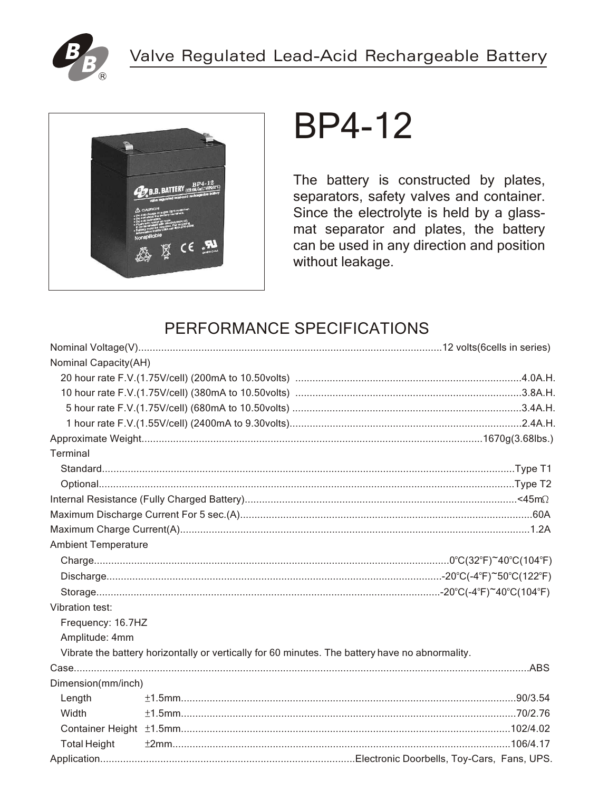



# **BP4-12**

The battery is constructed by plates, separators, safety valves and container. Since the electrolyte is held by a glassmat separator and plates, the battery can be used in any direction and position without leakage.

# PERFORMANCE SPECIFICATIONS

| <b>Nominal Capacity(AH)</b> |                                                                                                 |  |
|-----------------------------|-------------------------------------------------------------------------------------------------|--|
|                             |                                                                                                 |  |
|                             |                                                                                                 |  |
|                             |                                                                                                 |  |
|                             |                                                                                                 |  |
|                             |                                                                                                 |  |
| Terminal                    |                                                                                                 |  |
|                             |                                                                                                 |  |
|                             |                                                                                                 |  |
|                             |                                                                                                 |  |
|                             |                                                                                                 |  |
|                             |                                                                                                 |  |
| <b>Ambient Temperature</b>  |                                                                                                 |  |
|                             |                                                                                                 |  |
|                             |                                                                                                 |  |
|                             |                                                                                                 |  |
| Vibration test:             |                                                                                                 |  |
| Frequency: 16.7HZ           |                                                                                                 |  |
| Amplitude: 4mm              |                                                                                                 |  |
|                             | Vibrate the battery horizontally or vertically for 60 minutes. The battery have no abnormality. |  |
|                             |                                                                                                 |  |
| Dimension(mm/inch)          |                                                                                                 |  |
| Length                      |                                                                                                 |  |
| Width                       |                                                                                                 |  |
|                             |                                                                                                 |  |
| <b>Total Height</b>         |                                                                                                 |  |
|                             |                                                                                                 |  |